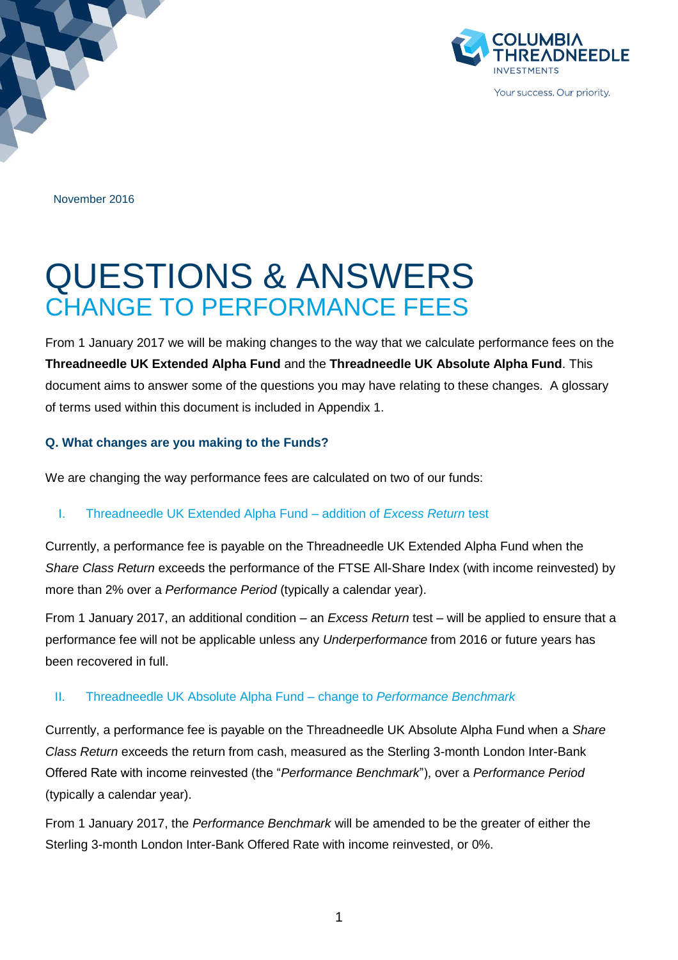

November 2016

# QUESTIONS & ANSWERS CHANGE TO PERFORMANCE FEES

From 1 January 2017 we will be making changes to the way that we calculate performance fees on the **Threadneedle UK Extended Alpha Fund** and the **Threadneedle UK Absolute Alpha Fund**. This document aims to answer some of the questions you may have relating to these changes. A glossary of terms used within this document is included in Appendix 1.

#### **Q. What changes are you making to the Funds?**

We are changing the way performance fees are calculated on two of our funds:

#### I. Threadneedle UK Extended Alpha Fund – addition of *Excess Return* test

Currently, a performance fee is payable on the Threadneedle UK Extended Alpha Fund when the *Share Class Return* exceeds the performance of the FTSE All-Share Index (with income reinvested) by more than 2% over a *Performance Period* (typically a calendar year).

From 1 January 2017, an additional condition – an *Excess Return* test – will be applied to ensure that a performance fee will not be applicable unless any *Underperformance* from 2016 or future years has been recovered in full.

#### II. Threadneedle UK Absolute Alpha Fund – change to *Performance Benchmark*

Currently, a performance fee is payable on the Threadneedle UK Absolute Alpha Fund when a *Share Class Return* exceeds the return from cash, measured as the Sterling 3-month London Inter-Bank Offered Rate with income reinvested (the "*Performance Benchmark*"), over a *Performance Period* (typically a calendar year).

From 1 January 2017, the *Performance Benchmark* will be amended to be the greater of either the Sterling 3-month London Inter-Bank Offered Rate with income reinvested, or 0%.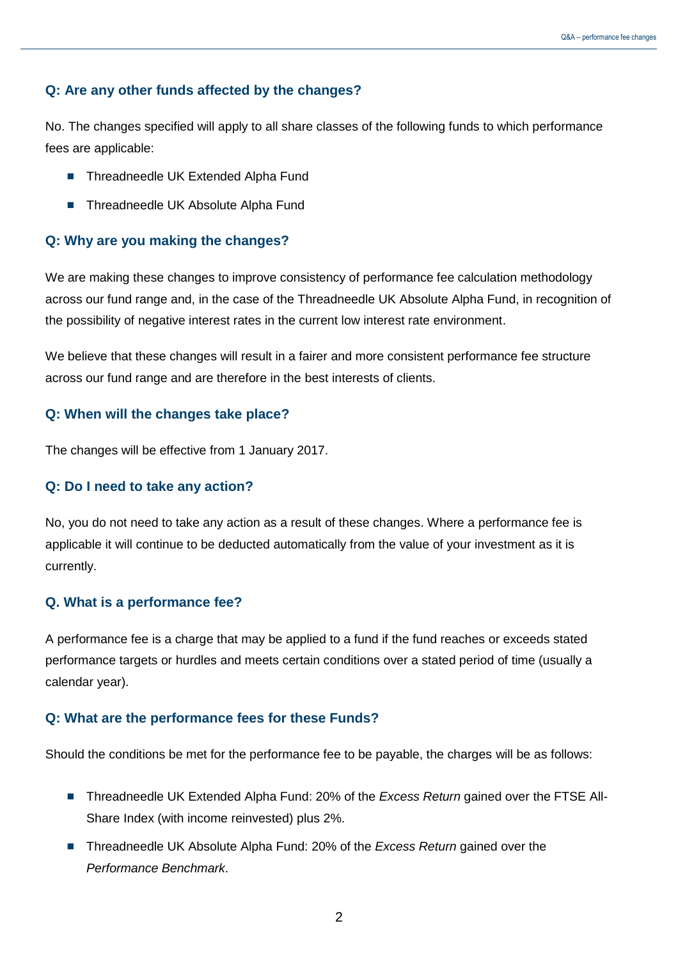#### **Q: Are any other funds affected by the changes?**

No. The changes specified will apply to all share classes of the following funds to which performance fees are applicable:

- **Threadneedle UK Extended Alpha Fund**
- **Threadneedle UK Absolute Alpha Fund**

#### **Q: Why are you making the changes?**

We are making these changes to improve consistency of performance fee calculation methodology across our fund range and, in the case of the Threadneedle UK Absolute Alpha Fund, in recognition of the possibility of negative interest rates in the current low interest rate environment.

We believe that these changes will result in a fairer and more consistent performance fee structure across our fund range and are therefore in the best interests of clients.

#### **Q: When will the changes take place?**

The changes will be effective from 1 January 2017.

#### **Q: Do I need to take any action?**

No, you do not need to take any action as a result of these changes. Where a performance fee is applicable it will continue to be deducted automatically from the value of your investment as it is currently.

#### **Q. What is a performance fee?**

A performance fee is a charge that may be applied to a fund if the fund reaches or exceeds stated performance targets or hurdles and meets certain conditions over a stated period of time (usually a calendar year).

#### **Q: What are the performance fees for these Funds?**

Should the conditions be met for the performance fee to be payable, the charges will be as follows:

- Threadneedle UK Extended Alpha Fund: 20% of the *Excess Return* gained over the FTSE All-Share Index (with income reinvested) plus 2%.
- Threadneedle UK Absolute Alpha Fund: 20% of the *Excess Return* gained over the *Performance Benchmark*.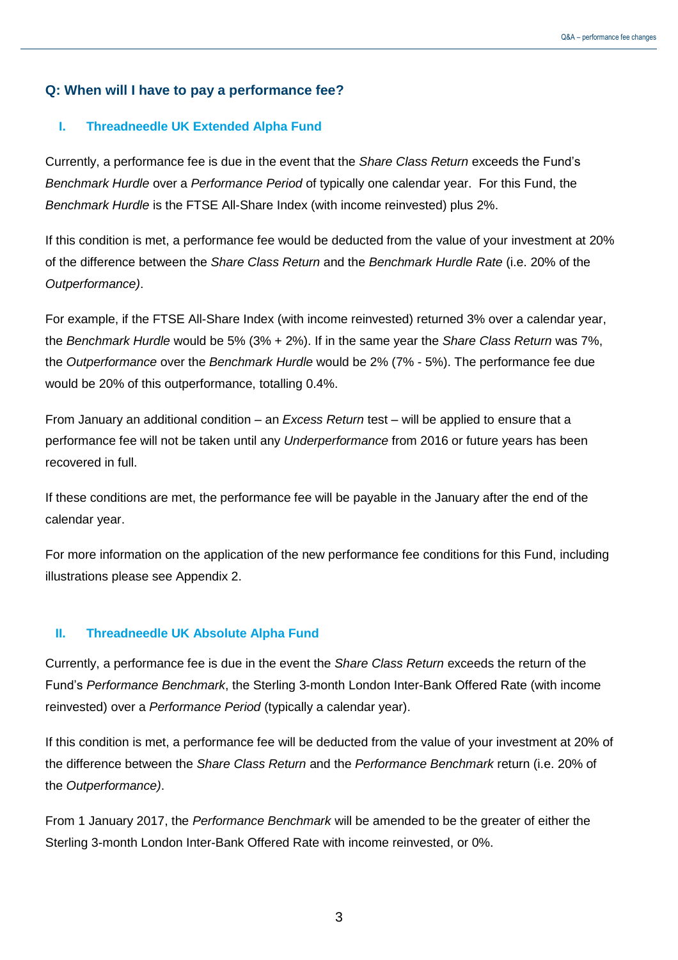#### **Q: When will I have to pay a performance fee?**

#### **I. Threadneedle UK Extended Alpha Fund**

Currently, a performance fee is due in the event that the *Share Class Return* exceeds the Fund's *Benchmark Hurdle* over a *Performance Period* of typically one calendar year. For this Fund, the *Benchmark Hurdle* is the FTSE All-Share Index (with income reinvested) plus 2%.

If this condition is met, a performance fee would be deducted from the value of your investment at 20% of the difference between the *Share Class Return* and the *Benchmark Hurdle Rate* (i.e. 20% of the *Outperformance)*.

For example, if the FTSE All-Share Index (with income reinvested) returned 3% over a calendar year, the *Benchmark Hurdle* would be 5% (3% + 2%). If in the same year the *Share Class Return* was 7%, the *Outperformance* over the *Benchmark Hurdle* would be 2% (7% - 5%). The performance fee due would be 20% of this outperformance, totalling 0.4%.

From January an additional condition – an *Excess Return* test – will be applied to ensure that a performance fee will not be taken until any *Underperformance* from 2016 or future years has been recovered in full.

If these conditions are met, the performance fee will be payable in the January after the end of the calendar year.

For more information on the application of the new performance fee conditions for this Fund, including illustrations please see Appendix 2.

#### **II. Threadneedle UK Absolute Alpha Fund**

Currently, a performance fee is due in the event the *Share Class Return* exceeds the return of the Fund's *Performance Benchmark*, the Sterling 3-month London Inter-Bank Offered Rate (with income reinvested) over a *Performance Period* (typically a calendar year).

If this condition is met, a performance fee will be deducted from the value of your investment at 20% of the difference between the *Share Class Return* and the *Performance Benchmark* return (i.e. 20% of the *Outperformance)*.

From 1 January 2017, the *Performance Benchmark* will be amended to be the greater of either the Sterling 3-month London Inter-Bank Offered Rate with income reinvested, or 0%.

3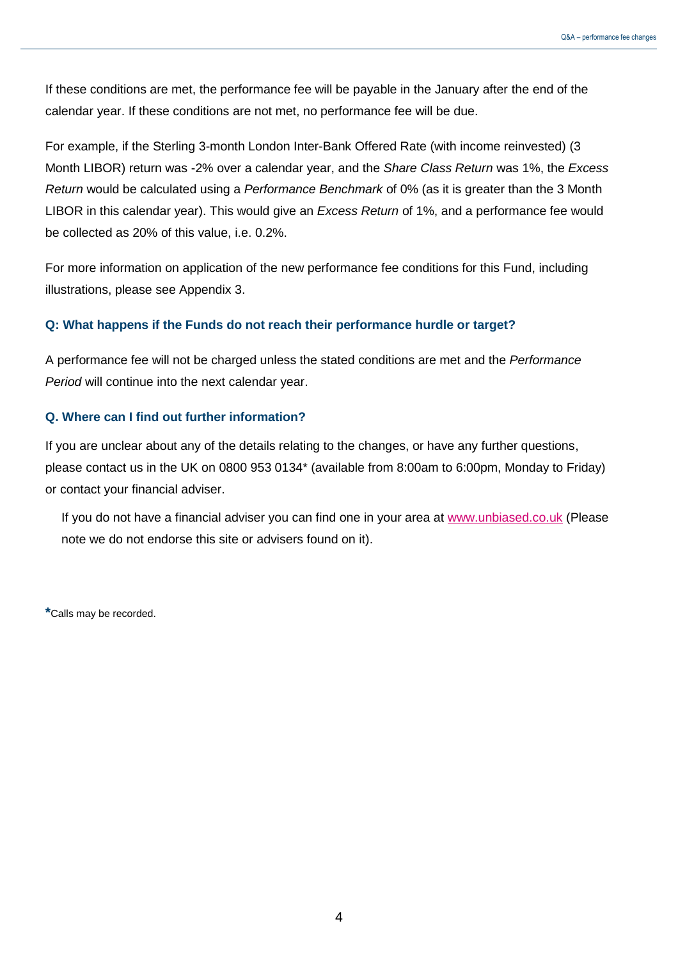If these conditions are met, the performance fee will be payable in the January after the end of the calendar year. If these conditions are not met, no performance fee will be due.

For example, if the Sterling 3-month London Inter-Bank Offered Rate (with income reinvested) (3 Month LIBOR) return was -2% over a calendar year, and the *Share Class Return* was 1%, the *Excess Return* would be calculated using a *Performance Benchmark* of 0% (as it is greater than the 3 Month LIBOR in this calendar year). This would give an *Excess Return* of 1%, and a performance fee would be collected as 20% of this value, i.e. 0.2%.

For more information on application of the new performance fee conditions for this Fund, including illustrations, please see Appendix 3.

#### **Q: What happens if the Funds do not reach their performance hurdle or target?**

A performance fee will not be charged unless the stated conditions are met and the *Performance Period* will continue into the next calendar year.

#### **Q. Where can I find out further information?**

If you are unclear about any of the details relating to the changes, or have any further questions, please contact us in the UK on 0800 953 0134\* (available from 8:00am to 6:00pm, Monday to Friday) or contact your financial adviser.

If you do not have a financial adviser you can find one in your area at [www.unbiased.co.uk](http://www.unbiased.co.uk/) (Please note we do not endorse this site or advisers found on it).

**\***Calls may be recorded.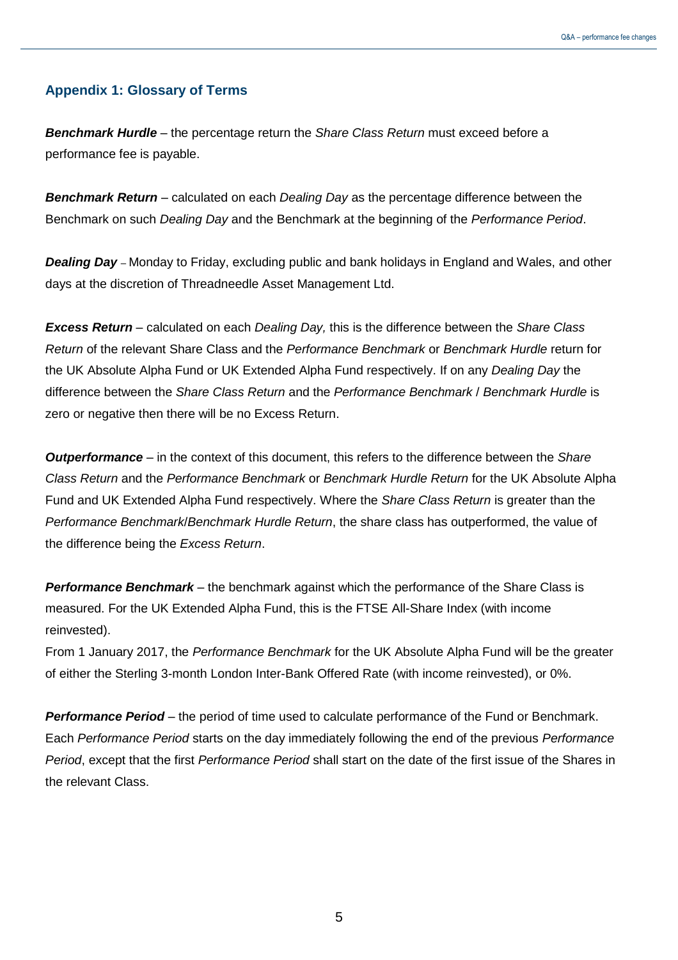#### **Appendix 1: Glossary of Terms**

*Benchmark Hurdle –* the percentage return the *Share Class Return* must exceed before a performance fee is payable.

*Benchmark Return* – calculated on each *Dealing Day* as the percentage difference between the Benchmark on such *Dealing Day* and the Benchmark at the beginning of the *Performance Period*.

*Dealing Day –* Monday to Friday, excluding public and bank holidays in England and Wales, and other days at the discretion of Threadneedle Asset Management Ltd.

*Excess Return* – calculated on each *Dealing Day,* this is the difference between the *Share Class Return* of the relevant Share Class and the *Performance Benchmark* or *Benchmark Hurdle* return for the UK Absolute Alpha Fund or UK Extended Alpha Fund respectively. If on any *Dealing Day* the difference between the *Share Class Return* and the *Performance Benchmark* / *Benchmark Hurdle* is zero or negative then there will be no Excess Return.

*Outperformance* – in the context of this document, this refers to the difference between the *Share Class Return* and the *Performance Benchmark* or *Benchmark Hurdle Return* for the UK Absolute Alpha Fund and UK Extended Alpha Fund respectively. Where the *Share Class Return* is greater than the *Performance Benchmark*/*Benchmark Hurdle Return*, the share class has outperformed, the value of the difference being the *Excess Return*.

*Performance Benchmark* – the benchmark against which the performance of the Share Class is measured. For the UK Extended Alpha Fund, this is the FTSE All-Share Index (with income reinvested).

From 1 January 2017, the *Performance Benchmark* for the UK Absolute Alpha Fund will be the greater of either the Sterling 3-month London Inter-Bank Offered Rate (with income reinvested), or 0%.

*Performance Period* – the period of time used to calculate performance of the Fund or Benchmark. Each *Performance Period* starts on the day immediately following the end of the previous *Performance Period*, except that the first *Performance Period* shall start on the date of the first issue of the Shares in the relevant Class.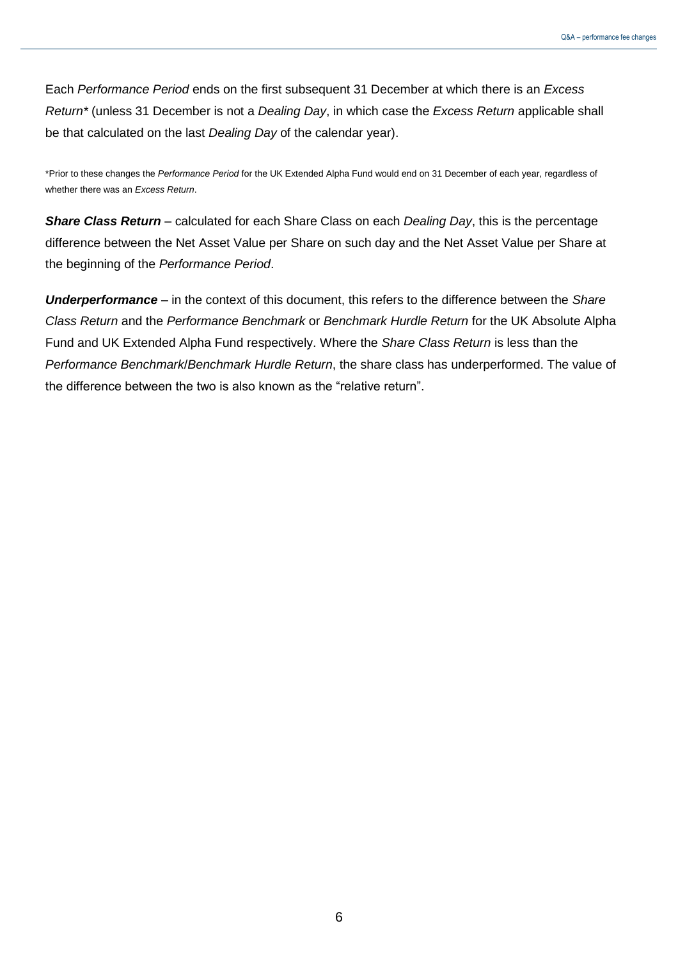Each *Performance Period* ends on the first subsequent 31 December at which there is an *Excess Return\** (unless 31 December is not a *Dealing Day*, in which case the *Excess Return* applicable shall be that calculated on the last *Dealing Day* of the calendar year).

\*Prior to these changes the *Performance Period* for the UK Extended Alpha Fund would end on 31 December of each year, regardless of whether there was an *Excess Return*.

*Share Class Return* – calculated for each Share Class on each *Dealing Day*, this is the percentage difference between the Net Asset Value per Share on such day and the Net Asset Value per Share at the beginning of the *Performance Period*.

*Underperformance* – in the context of this document, this refers to the difference between the *Share Class Return* and the *Performance Benchmark* or *Benchmark Hurdle Return* for the UK Absolute Alpha Fund and UK Extended Alpha Fund respectively. Where the *Share Class Return* is less than the *Performance Benchmark*/*Benchmark Hurdle Return*, the share class has underperformed. The value of the difference between the two is also known as the "relative return".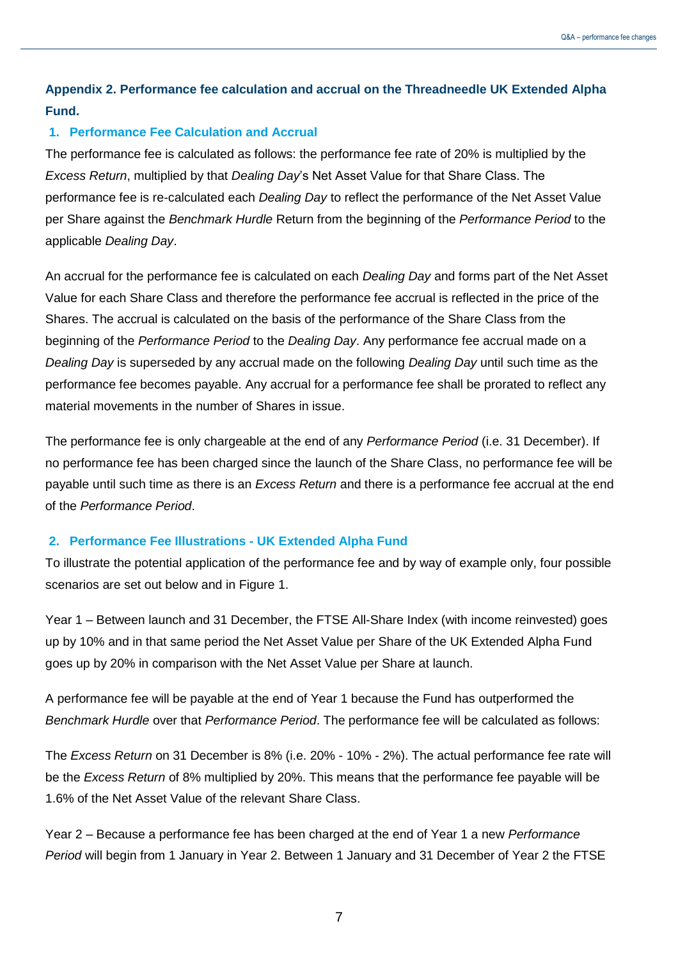## **Appendix 2. Performance fee calculation and accrual on the Threadneedle UK Extended Alpha Fund.**

#### **1. Performance Fee Calculation and Accrual**

The performance fee is calculated as follows: the performance fee rate of 20% is multiplied by the *Excess Return*, multiplied by that *Dealing Day*'s Net Asset Value for that Share Class. The performance fee is re-calculated each *Dealing Day* to reflect the performance of the Net Asset Value per Share against the *Benchmark Hurdle* Return from the beginning of the *Performance Period* to the applicable *Dealing Day*.

An accrual for the performance fee is calculated on each *Dealing Day* and forms part of the Net Asset Value for each Share Class and therefore the performance fee accrual is reflected in the price of the Shares. The accrual is calculated on the basis of the performance of the Share Class from the beginning of the *Performance Period* to the *Dealing Day*. Any performance fee accrual made on a *Dealing Day* is superseded by any accrual made on the following *Dealing Day* until such time as the performance fee becomes payable. Any accrual for a performance fee shall be prorated to reflect any material movements in the number of Shares in issue.

The performance fee is only chargeable at the end of any *Performance Period* (i.e. 31 December). If no performance fee has been charged since the launch of the Share Class, no performance fee will be payable until such time as there is an *Excess Return* and there is a performance fee accrual at the end of the *Performance Period*.

#### **2. Performance Fee Illustrations - UK Extended Alpha Fund**

To illustrate the potential application of the performance fee and by way of example only, four possible scenarios are set out below and in Figure 1.

Year 1 – Between launch and 31 December, the FTSE All-Share Index (with income reinvested) goes up by 10% and in that same period the Net Asset Value per Share of the UK Extended Alpha Fund goes up by 20% in comparison with the Net Asset Value per Share at launch.

A performance fee will be payable at the end of Year 1 because the Fund has outperformed the *Benchmark Hurdle* over that *Performance Period*. The performance fee will be calculated as follows:

The *Excess Return* on 31 December is 8% (i.e. 20% - 10% - 2%). The actual performance fee rate will be the *Excess Return* of 8% multiplied by 20%. This means that the performance fee payable will be 1.6% of the Net Asset Value of the relevant Share Class.

Year 2 – Because a performance fee has been charged at the end of Year 1 a new *Performance Period* will begin from 1 January in Year 2. Between 1 January and 31 December of Year 2 the FTSE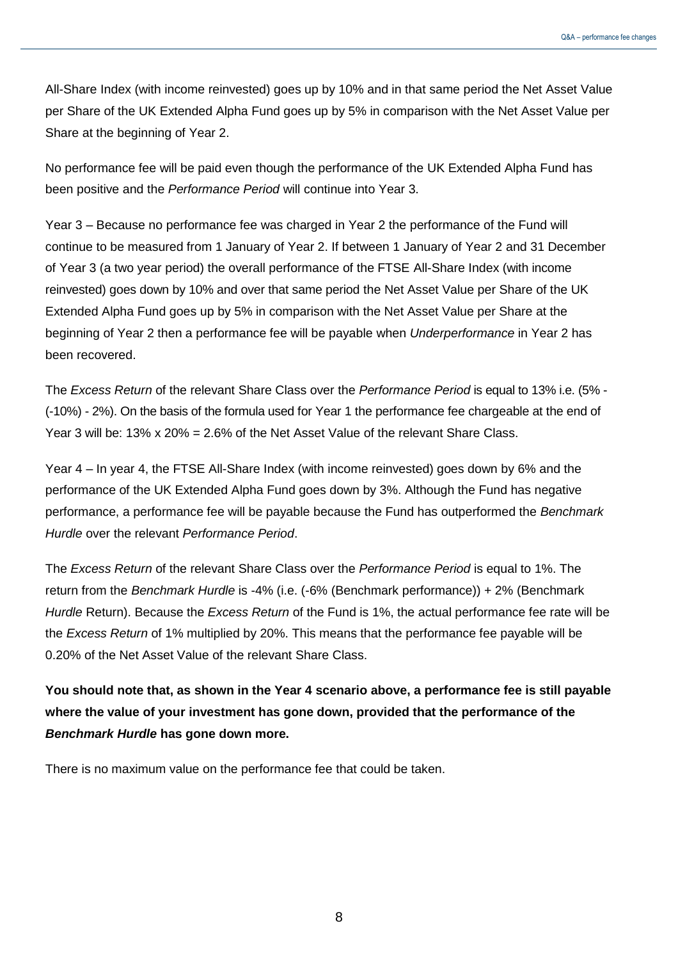All-Share Index (with income reinvested) goes up by 10% and in that same period the Net Asset Value per Share of the UK Extended Alpha Fund goes up by 5% in comparison with the Net Asset Value per Share at the beginning of Year 2.

No performance fee will be paid even though the performance of the UK Extended Alpha Fund has been positive and the *Performance Period* will continue into Year 3.

Year 3 – Because no performance fee was charged in Year 2 the performance of the Fund will continue to be measured from 1 January of Year 2. If between 1 January of Year 2 and 31 December of Year 3 (a two year period) the overall performance of the FTSE All-Share Index (with income reinvested) goes down by 10% and over that same period the Net Asset Value per Share of the UK Extended Alpha Fund goes up by 5% in comparison with the Net Asset Value per Share at the beginning of Year 2 then a performance fee will be payable when *Underperformance* in Year 2 has been recovered.

The *Excess Return* of the relevant Share Class over the *Performance Period* is equal to 13% i.e. (5% - (-10%) - 2%). On the basis of the formula used for Year 1 the performance fee chargeable at the end of Year 3 will be:  $13\%$  x  $20\% = 2.6\%$  of the Net Asset Value of the relevant Share Class.

Year 4 – In year 4, the FTSE All-Share Index (with income reinvested) goes down by 6% and the performance of the UK Extended Alpha Fund goes down by 3%. Although the Fund has negative performance, a performance fee will be payable because the Fund has outperformed the *Benchmark Hurdle* over the relevant *Performance Period*.

The *Excess Return* of the relevant Share Class over the *Performance Period* is equal to 1%. The return from the *Benchmark Hurdle* is -4% (i.e. (-6% (Benchmark performance)) + 2% (Benchmark *Hurdle* Return). Because the *Excess Return* of the Fund is 1%, the actual performance fee rate will be the *Excess Return* of 1% multiplied by 20%. This means that the performance fee payable will be 0.20% of the Net Asset Value of the relevant Share Class.

**You should note that, as shown in the Year 4 scenario above, a performance fee is still payable where the value of your investment has gone down, provided that the performance of the**  *Benchmark Hurdle* **has gone down more.**

There is no maximum value on the performance fee that could be taken.

8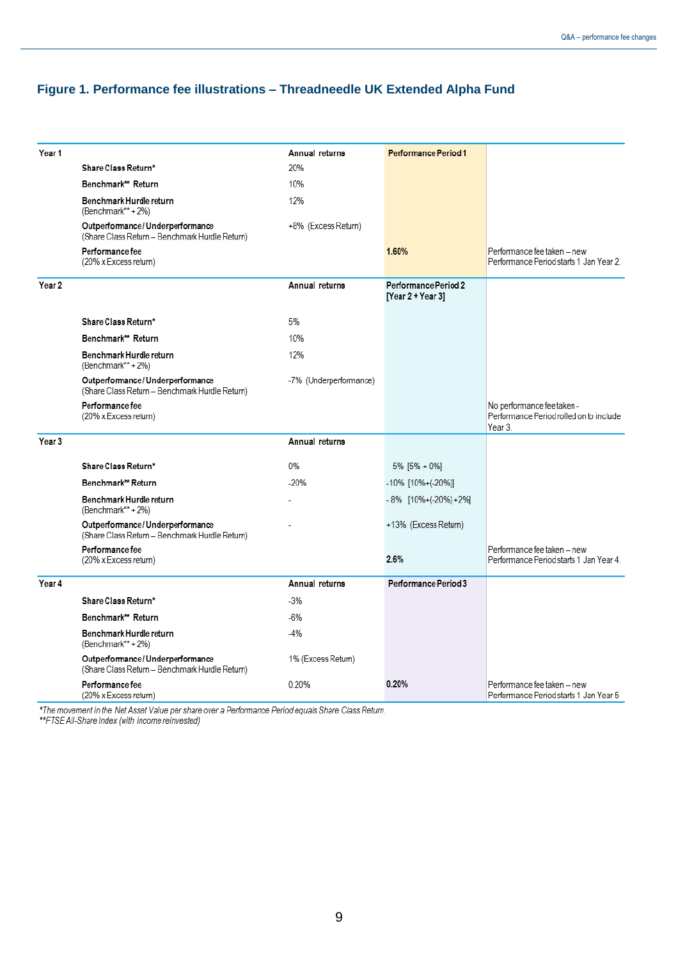#### **Figure 1. Performance fee illustrations – Threadneedle UK Extended Alpha Fund**

| Year 1 |                                                                                   | Annual returns         | Performance Period 1                      |                                                                                 |
|--------|-----------------------------------------------------------------------------------|------------------------|-------------------------------------------|---------------------------------------------------------------------------------|
|        | Share Class Return*                                                               | 20%                    |                                           |                                                                                 |
|        | Benchmark** Return                                                                | 10%                    |                                           |                                                                                 |
|        | Benchmark Hurdle return<br>(Benchmark**+2%)                                       | 12%                    |                                           |                                                                                 |
|        | Outperformance/Underperformance<br>(Share Class Return - Benchmark Hurdle Return) | +8% (Excess Return)    |                                           |                                                                                 |
|        | Performance fee<br>(20% x Excess return)                                          |                        | 1.60%                                     | Performance fee taken - new<br>Performance Period starts 1 Jan Year 2           |
| Year 2 |                                                                                   | Annual returns         | Performance Period 2<br>[Year 2 + Year 3] |                                                                                 |
|        | Share Class Return*                                                               | 5%                     |                                           |                                                                                 |
|        | Benchmark** Return                                                                | 10%                    |                                           |                                                                                 |
|        | Benchmark Hurdle return<br>(Benchmark**+2%)                                       | 12%                    |                                           |                                                                                 |
|        | Outperformance/Underperformance<br>(Share Class Return - Benchmark Hurdle Return) | -7% (Underperformance) |                                           |                                                                                 |
|        | Performance fee<br>(20% x Excess return)                                          |                        |                                           | No performance fee taken -<br>Performance Period rolled on to include<br>Year 3 |
| Year 3 |                                                                                   | Annual returns         |                                           |                                                                                 |
|        | Share Class Return*                                                               | 0%                     | 5% [5% + 0%]                              |                                                                                 |
|        | Benchmark** Return                                                                | $-20%$                 | -10% [10%+(-20%)]                         |                                                                                 |
|        | Benchmark Hurdle return<br>(Benchmark**+2%)                                       |                        | -8% [10%+(-20%) +2%]                      |                                                                                 |
|        | Outperformance/Underperformance<br>(Share Class Return - Benchmark Hurdle Return) |                        | +13% (Excess Return)                      |                                                                                 |
|        | Performance fee<br>(20% x Excess return)                                          |                        | 2.6%                                      | Performance fee taken - new<br>Performance Period starts 1 Jan Year 4.          |
| Year 4 |                                                                                   | Annual returns         | Performance Period 3                      |                                                                                 |
|        | Share Class Return*                                                               | $-3%$                  |                                           |                                                                                 |
|        | Benchmark** Return                                                                | $-6%$                  |                                           |                                                                                 |
|        | Benchmark Hurdle return<br>(Benchmark**+2%)                                       | $-4%$                  |                                           |                                                                                 |
|        | Outperformance/Underperformance<br>(Share Class Return - Benchmark Hurdle Return) | 1% (Excess Return)     |                                           |                                                                                 |
|        | Performance fee<br>(20% x Excess return)                                          | 0.20%                  | 0.20%                                     | Performance fee taken - new<br>Performance Period starts 1 Jan Year 5           |

\*The movement in the Net Asset Value per share over a Performance Period equals Share Class Return.<br>\*\*FTSE All-Share Index (with income reinvested)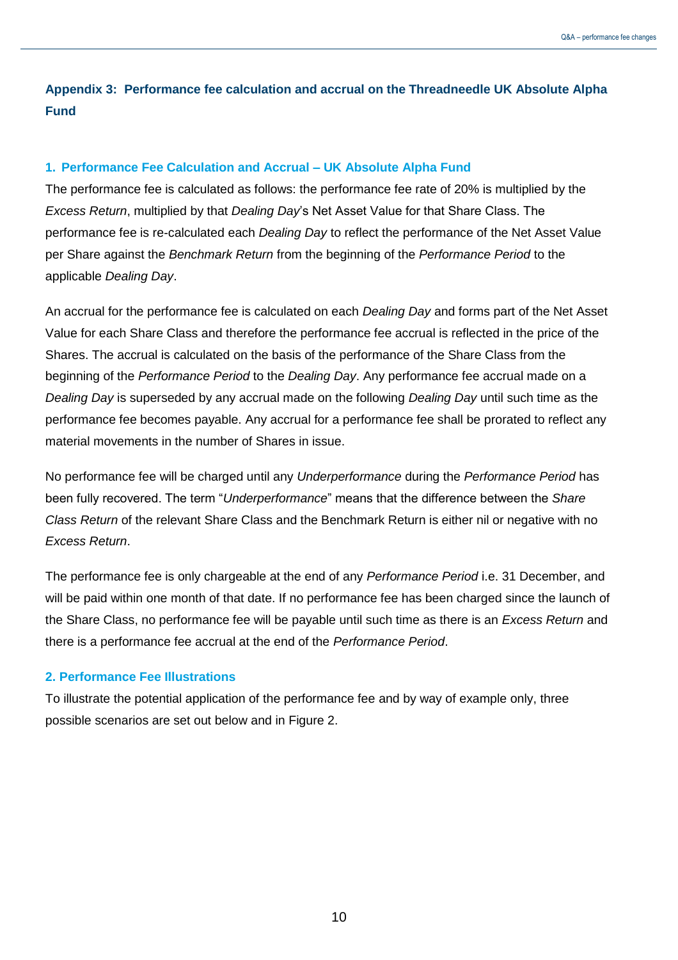## **Appendix 3: Performance fee calculation and accrual on the Threadneedle UK Absolute Alpha Fund**

#### **1. Performance Fee Calculation and Accrual – UK Absolute Alpha Fund**

The performance fee is calculated as follows: the performance fee rate of 20% is multiplied by the *Excess Return*, multiplied by that *Dealing Day*'s Net Asset Value for that Share Class. The performance fee is re-calculated each *Dealing Day* to reflect the performance of the Net Asset Value per Share against the *Benchmark Return* from the beginning of the *Performance Period* to the applicable *Dealing Day*.

An accrual for the performance fee is calculated on each *Dealing Day* and forms part of the Net Asset Value for each Share Class and therefore the performance fee accrual is reflected in the price of the Shares. The accrual is calculated on the basis of the performance of the Share Class from the beginning of the *Performance Period* to the *Dealing Day*. Any performance fee accrual made on a *Dealing Day* is superseded by any accrual made on the following *Dealing Day* until such time as the performance fee becomes payable. Any accrual for a performance fee shall be prorated to reflect any material movements in the number of Shares in issue.

No performance fee will be charged until any *Underperformance* during the *Performance Period* has been fully recovered. The term "*Underperformance*" means that the difference between the *Share Class Return* of the relevant Share Class and the Benchmark Return is either nil or negative with no *Excess Return*.

The performance fee is only chargeable at the end of any *Performance Period* i.e. 31 December, and will be paid within one month of that date. If no performance fee has been charged since the launch of the Share Class, no performance fee will be payable until such time as there is an *Excess Return* and there is a performance fee accrual at the end of the *Performance Period*.

#### **2. Performance Fee Illustrations**

To illustrate the potential application of the performance fee and by way of example only, three possible scenarios are set out below and in Figure 2.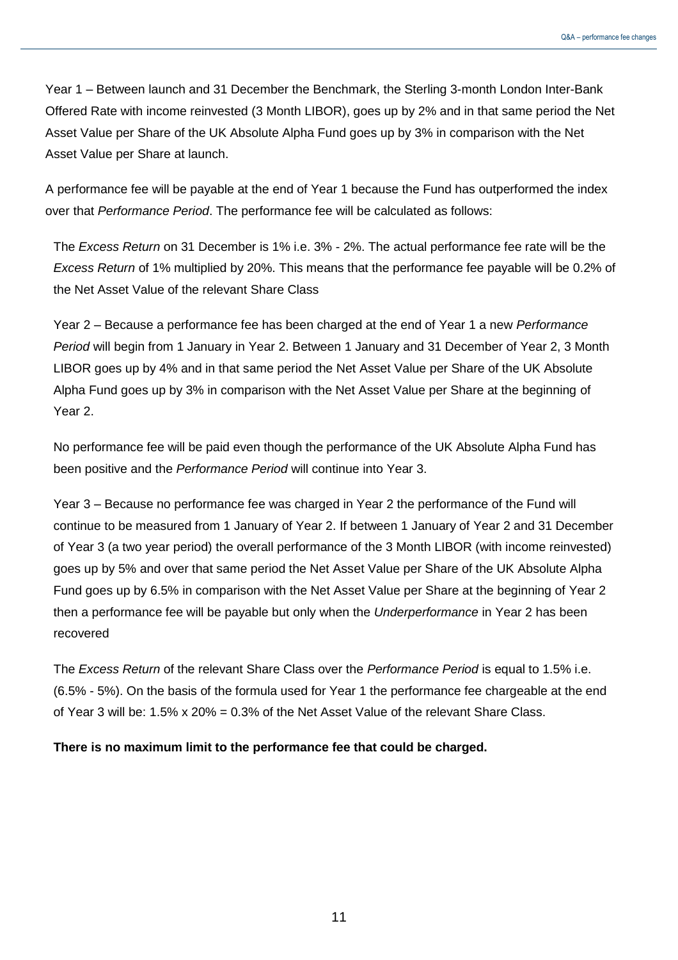Year 1 – Between launch and 31 December the Benchmark, the Sterling 3-month London Inter-Bank Offered Rate with income reinvested (3 Month LIBOR), goes up by 2% and in that same period the Net Asset Value per Share of the UK Absolute Alpha Fund goes up by 3% in comparison with the Net Asset Value per Share at launch.

A performance fee will be payable at the end of Year 1 because the Fund has outperformed the index over that *Performance Period*. The performance fee will be calculated as follows:

The *Excess Return* on 31 December is 1% i.e. 3% - 2%. The actual performance fee rate will be the *Excess Return* of 1% multiplied by 20%. This means that the performance fee payable will be 0.2% of the Net Asset Value of the relevant Share Class

Year 2 – Because a performance fee has been charged at the end of Year 1 a new *Performance Period* will begin from 1 January in Year 2. Between 1 January and 31 December of Year 2, 3 Month LIBOR goes up by 4% and in that same period the Net Asset Value per Share of the UK Absolute Alpha Fund goes up by 3% in comparison with the Net Asset Value per Share at the beginning of Year 2.

No performance fee will be paid even though the performance of the UK Absolute Alpha Fund has been positive and the *Performance Period* will continue into Year 3.

Year 3 – Because no performance fee was charged in Year 2 the performance of the Fund will continue to be measured from 1 January of Year 2. If between 1 January of Year 2 and 31 December of Year 3 (a two year period) the overall performance of the 3 Month LIBOR (with income reinvested) goes up by 5% and over that same period the Net Asset Value per Share of the UK Absolute Alpha Fund goes up by 6.5% in comparison with the Net Asset Value per Share at the beginning of Year 2 then a performance fee will be payable but only when the *Underperformance* in Year 2 has been recovered

The *Excess Return* of the relevant Share Class over the *Performance Period* is equal to 1.5% i.e. (6.5% - 5%). On the basis of the formula used for Year 1 the performance fee chargeable at the end of Year 3 will be: 1.5% x 20% = 0.3% of the Net Asset Value of the relevant Share Class.

**There is no maximum limit to the performance fee that could be charged.** 

11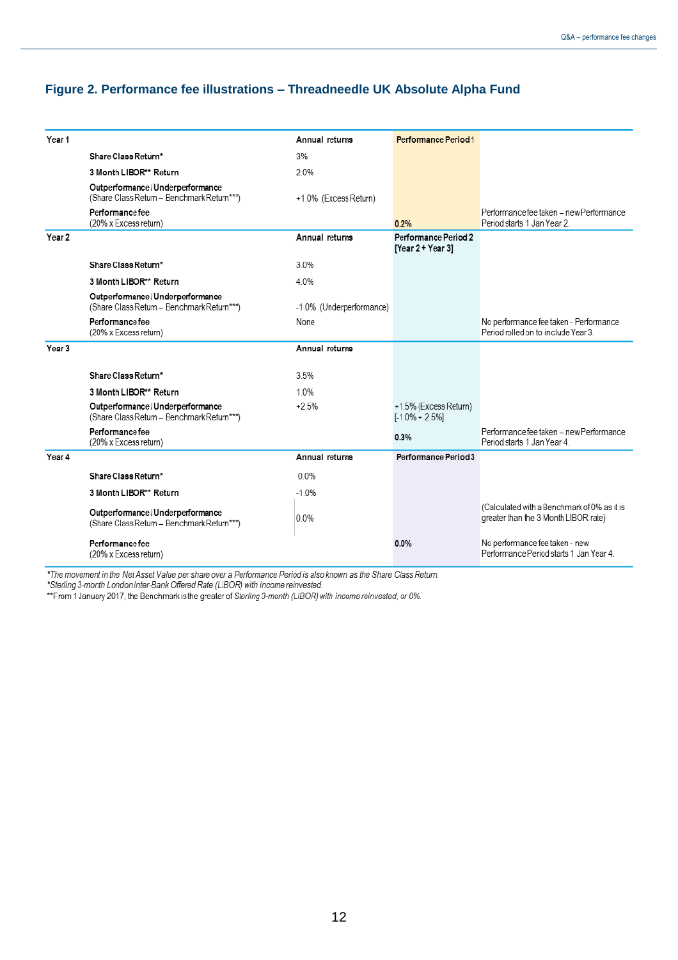#### **Figure 2. Performance fee illustrations – Threadneedle UK Absolute Alpha Fund**

|                   |                                                                               | Annual returns           | Performance Period1                         |                                                                                     |
|-------------------|-------------------------------------------------------------------------------|--------------------------|---------------------------------------------|-------------------------------------------------------------------------------------|
| Year 1            |                                                                               |                          |                                             |                                                                                     |
|                   | Share Class Return*                                                           | 3%                       |                                             |                                                                                     |
|                   | 3 Month LIBOR** Return                                                        | 2.0%                     |                                             |                                                                                     |
|                   | Outperformance/Underperformance<br>(Share Class Return - Benchmark Return***) | +1.0% (Excess Return)    |                                             |                                                                                     |
|                   | Performance fee<br>(20% x Excess return)                                      |                          | 0.2%                                        | Performance fee taken - new Performance<br>Period starts 1 Jan Year 2.              |
| Year 2            |                                                                               | Annual returns           | Performance Period 2<br>[Year 2 + Year 3]   |                                                                                     |
|                   | Share Class Return*                                                           | 3.0%                     |                                             |                                                                                     |
|                   | 3 Month LIBOR** Return                                                        | 4.0%                     |                                             |                                                                                     |
|                   | Outperformance/Underperformance<br>(Share Class Return - Benchmark Return***) | -1.0% (Underperformance) |                                             |                                                                                     |
|                   | Performance fee<br>(20% x Excess return)                                      | None                     |                                             | No performance fee taken - Performance<br>Period rolled on to include Year 3.       |
| Year <sub>3</sub> |                                                                               | Annual returns           |                                             |                                                                                     |
|                   | Share Class Return*                                                           | 3.5%                     |                                             |                                                                                     |
|                   | 3 Month LIBOR** Return                                                        | 10%                      |                                             |                                                                                     |
|                   | Outperformance/Underperformance<br>(Share Class Return - Benchmark Return***) | $+2.5%$                  | +1.5% (Excess Return)<br>$[-1.0\% + 2.5\%]$ |                                                                                     |
|                   | Performance fee<br>(20% x Excess return)                                      |                          | 0.3%                                        | Performance fee taken - new Performance<br>Period starts 1 Jan Year 4.              |
| Year 4            |                                                                               | Annual returns           | Performance Period 3                        |                                                                                     |
|                   | Share Class Return*                                                           | 0.0%                     |                                             |                                                                                     |
|                   | 3 Month LIBOR** Return                                                        | $-1.0%$                  |                                             |                                                                                     |
|                   | Outperformance/Underperformance<br>(Share Class Return - Benchmark Return***) | 0.0%                     |                                             | (Calculated with a Benchmark of 0% as it is<br>greater than the 3 Month LIBOR rate) |
|                   | Performance fee<br>(20% x Excess return)                                      |                          | 0.0%                                        | No performance fee taken - new<br>Performance Period starts 1 Jan Year 4.           |

\*The movement in the Net Asset Value per share over a Performance Period is also known as the Share Class Return.<br>\*Sterling 3-month London Inter-Bank Offered Rate (LIBOR) with income reinvested.<br>\*\*From 1 January 2017, the